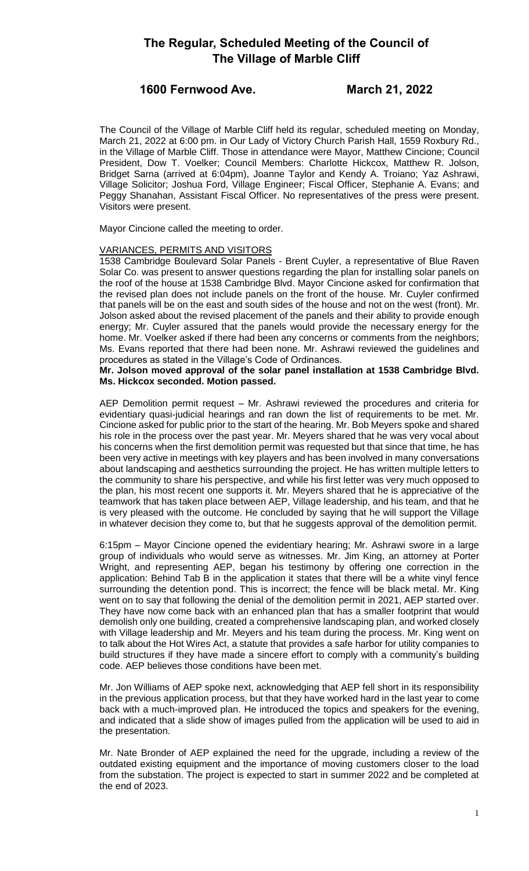## **1600 Fernwood Ave. March 21, 2022**

The Council of the Village of Marble Cliff held its regular, scheduled meeting on Monday, March 21, 2022 at 6:00 pm. in Our Lady of Victory Church Parish Hall, 1559 Roxbury Rd., in the Village of Marble Cliff. Those in attendance were Mayor, Matthew Cincione; Council President, Dow T. Voelker; Council Members: Charlotte Hickcox, Matthew R. Jolson, Bridget Sarna (arrived at 6:04pm), Joanne Taylor and Kendy A. Troiano; Yaz Ashrawi, Village Solicitor; Joshua Ford, Village Engineer; Fiscal Officer, Stephanie A. Evans; and Peggy Shanahan, Assistant Fiscal Officer. No representatives of the press were present. Visitors were present.

Mayor Cincione called the meeting to order.

### VARIANCES, PERMITS AND VISITORS

1538 Cambridge Boulevard Solar Panels - Brent Cuyler, a representative of Blue Raven Solar Co. was present to answer questions regarding the plan for installing solar panels on the roof of the house at 1538 Cambridge Blvd. Mayor Cincione asked for confirmation that the revised plan does not include panels on the front of the house. Mr. Cuyler confirmed that panels will be on the east and south sides of the house and not on the west (front). Mr. Jolson asked about the revised placement of the panels and their ability to provide enough energy; Mr. Cuyler assured that the panels would provide the necessary energy for the home. Mr. Voelker asked if there had been any concerns or comments from the neighbors; Ms. Evans reported that there had been none. Mr. Ashrawi reviewed the guidelines and procedures as stated in the Village's Code of Ordinances.

**Mr. Jolson moved approval of the solar panel installation at 1538 Cambridge Blvd. Ms. Hickcox seconded. Motion passed.**

AEP Demolition permit request – Mr. Ashrawi reviewed the procedures and criteria for evidentiary quasi-judicial hearings and ran down the list of requirements to be met. Mr. Cincione asked for public prior to the start of the hearing. Mr. Bob Meyers spoke and shared his role in the process over the past year. Mr. Meyers shared that he was very vocal about his concerns when the first demolition permit was requested but that since that time, he has been very active in meetings with key players and has been involved in many conversations about landscaping and aesthetics surrounding the project. He has written multiple letters to the community to share his perspective, and while his first letter was very much opposed to the plan, his most recent one supports it. Mr. Meyers shared that he is appreciative of the teamwork that has taken place between AEP, Village leadership, and his team, and that he is very pleased with the outcome. He concluded by saying that he will support the Village in whatever decision they come to, but that he suggests approval of the demolition permit.

6:15pm – Mayor Cincione opened the evidentiary hearing; Mr. Ashrawi swore in a large group of individuals who would serve as witnesses. Mr. Jim King, an attorney at Porter Wright, and representing AEP, began his testimony by offering one correction in the application: Behind Tab B in the application it states that there will be a white vinyl fence surrounding the detention pond. This is incorrect; the fence will be black metal. Mr. King went on to say that following the denial of the demolition permit in 2021, AEP started over. They have now come back with an enhanced plan that has a smaller footprint that would demolish only one building, created a comprehensive landscaping plan, and worked closely with Village leadership and Mr. Meyers and his team during the process. Mr. King went on to talk about the Hot Wires Act, a statute that provides a safe harbor for utility companies to build structures if they have made a sincere effort to comply with a community's building code. AEP believes those conditions have been met.

Mr. Jon Williams of AEP spoke next, acknowledging that AEP fell short in its responsibility in the previous application process, but that they have worked hard in the last year to come back with a much-improved plan. He introduced the topics and speakers for the evening, and indicated that a slide show of images pulled from the application will be used to aid in the presentation.

Mr. Nate Bronder of AEP explained the need for the upgrade, including a review of the outdated existing equipment and the importance of moving customers closer to the load from the substation. The project is expected to start in summer 2022 and be completed at the end of 2023.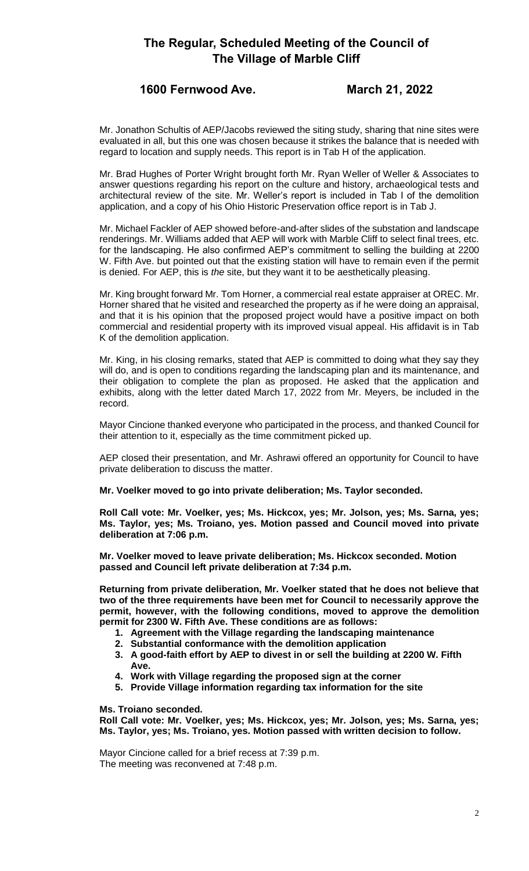## **1600 Fernwood Ave. March 21, 2022**

Mr. Jonathon Schultis of AEP/Jacobs reviewed the siting study, sharing that nine sites were evaluated in all, but this one was chosen because it strikes the balance that is needed with regard to location and supply needs. This report is in Tab H of the application.

Mr. Brad Hughes of Porter Wright brought forth Mr. Ryan Weller of Weller & Associates to answer questions regarding his report on the culture and history, archaeological tests and architectural review of the site. Mr. Weller's report is included in Tab I of the demolition application, and a copy of his Ohio Historic Preservation office report is in Tab J.

Mr. Michael Fackler of AEP showed before-and-after slides of the substation and landscape renderings. Mr. Williams added that AEP will work with Marble Cliff to select final trees, etc. for the landscaping. He also confirmed AEP's commitment to selling the building at 2200 W. Fifth Ave. but pointed out that the existing station will have to remain even if the permit is denied. For AEP, this is *the* site, but they want it to be aesthetically pleasing.

Mr. King brought forward Mr. Tom Horner, a commercial real estate appraiser at OREC. Mr. Horner shared that he visited and researched the property as if he were doing an appraisal, and that it is his opinion that the proposed project would have a positive impact on both commercial and residential property with its improved visual appeal. His affidavit is in Tab K of the demolition application.

Mr. King, in his closing remarks, stated that AEP is committed to doing what they say they will do, and is open to conditions regarding the landscaping plan and its maintenance, and their obligation to complete the plan as proposed. He asked that the application and exhibits, along with the letter dated March 17, 2022 from Mr. Meyers, be included in the record.

Mayor Cincione thanked everyone who participated in the process, and thanked Council for their attention to it, especially as the time commitment picked up.

AEP closed their presentation, and Mr. Ashrawi offered an opportunity for Council to have private deliberation to discuss the matter.

#### **Mr. Voelker moved to go into private deliberation; Ms. Taylor seconded.**

**Roll Call vote: Mr. Voelker, yes; Ms. Hickcox, yes; Mr. Jolson, yes; Ms. Sarna, yes; Ms. Taylor, yes; Ms. Troiano, yes. Motion passed and Council moved into private deliberation at 7:06 p.m.**

**Mr. Voelker moved to leave private deliberation; Ms. Hickcox seconded. Motion passed and Council left private deliberation at 7:34 p.m.**

**Returning from private deliberation, Mr. Voelker stated that he does not believe that two of the three requirements have been met for Council to necessarily approve the permit, however, with the following conditions, moved to approve the demolition permit for 2300 W. Fifth Ave. These conditions are as follows:**

- **1. Agreement with the Village regarding the landscaping maintenance**
- **2. Substantial conformance with the demolition application**
- **3. A good-faith effort by AEP to divest in or sell the building at 2200 W. Fifth Ave.**
- **4. Work with Village regarding the proposed sign at the corner**
- **5. Provide Village information regarding tax information for the site**

**Ms. Troiano seconded.** 

**Roll Call vote: Mr. Voelker, yes; Ms. Hickcox, yes; Mr. Jolson, yes; Ms. Sarna, yes; Ms. Taylor, yes; Ms. Troiano, yes. Motion passed with written decision to follow.**

Mayor Cincione called for a brief recess at 7:39 p.m. The meeting was reconvened at 7:48 p.m.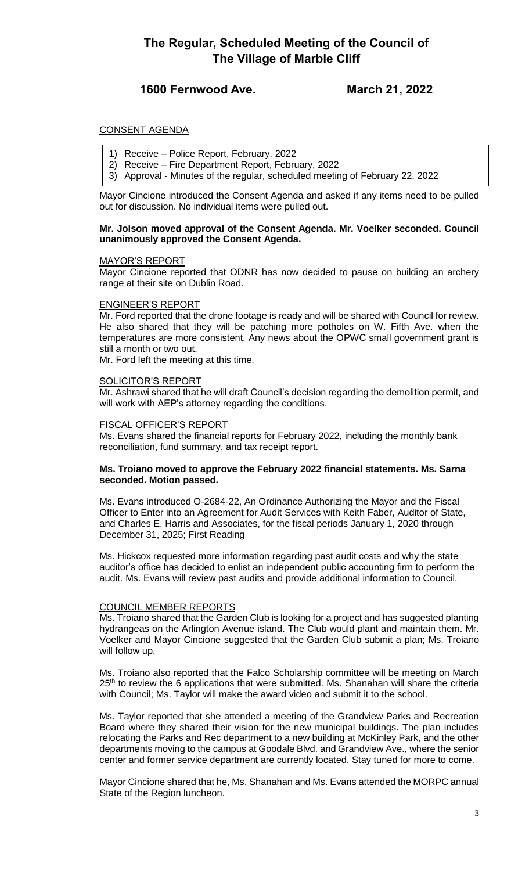## **1600 Fernwood Ave. March 21, 2022**

### CONSENT AGENDA

- 1) Receive Police Report, February, 2022
- 2) Receive Fire Department Report, February, 2022
- 3) Approval Minutes of the regular, scheduled meeting of February 22, 2022

Mayor Cincione introduced the Consent Agenda and asked if any items need to be pulled out for discussion. No individual items were pulled out.

#### **Mr. Jolson moved approval of the Consent Agenda. Mr. Voelker seconded. Council unanimously approved the Consent Agenda.**

#### MAYOR'S REPORT

Mayor Cincione reported that ODNR has now decided to pause on building an archery range at their site on Dublin Road.

#### ENGINEER'S REPORT

Mr. Ford reported that the drone footage is ready and will be shared with Council for review. He also shared that they will be patching more potholes on W. Fifth Ave. when the temperatures are more consistent. Any news about the OPWC small government grant is still a month or two out.

Mr. Ford left the meeting at this time.

### SOLICITOR'S REPORT

Mr. Ashrawi shared that he will draft Council's decision regarding the demolition permit, and will work with AEP's attorney regarding the conditions.

#### FISCAL OFFICER'S REPORT

Ms. Evans shared the financial reports for February 2022, including the monthly bank reconciliation, fund summary, and tax receipt report.

#### **Ms. Troiano moved to approve the February 2022 financial statements. Ms. Sarna seconded. Motion passed.**

Ms. Evans introduced O-2684-22, An Ordinance Authorizing the Mayor and the Fiscal Officer to Enter into an Agreement for Audit Services with Keith Faber, Auditor of State, and Charles E. Harris and Associates, for the fiscal periods January 1, 2020 through December 31, 2025; First Reading

Ms. Hickcox requested more information regarding past audit costs and why the state auditor's office has decided to enlist an independent public accounting firm to perform the audit. Ms. Evans will review past audits and provide additional information to Council.

#### COUNCIL MEMBER REPORTS

Ms. Troiano shared that the Garden Club is looking for a project and has suggested planting hydrangeas on the Arlington Avenue island. The Club would plant and maintain them. Mr. Voelker and Mayor Cincione suggested that the Garden Club submit a plan; Ms. Troiano will follow up.

Ms. Troiano also reported that the Falco Scholarship committee will be meeting on March 25<sup>th</sup> to review the 6 applications that were submitted. Ms. Shanahan will share the criteria with Council; Ms. Taylor will make the award video and submit it to the school.

Ms. Taylor reported that she attended a meeting of the Grandview Parks and Recreation Board where they shared their vision for the new municipal buildings. The plan includes relocating the Parks and Rec department to a new building at McKinley Park, and the other departments moving to the campus at Goodale Blvd. and Grandview Ave., where the senior center and former service department are currently located. Stay tuned for more to come.

Mayor Cincione shared that he, Ms. Shanahan and Ms. Evans attended the MORPC annual State of the Region luncheon.